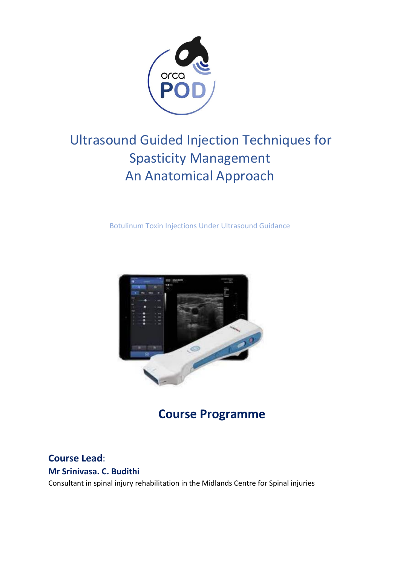

# Ultrasound Guided Injection Techniques for Spasticity Management An Anatomical Approach

Botulinum Toxin Injections Under Ultrasound Guidance



**Course Programme**

### **Course Lead**:

**Mr Srinivasa. C. Budithi** 

Consultant in spinal injury rehabilitation in the Midlands Centre for Spinal injuries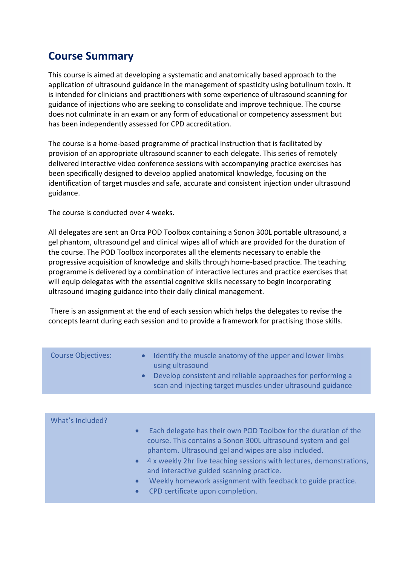# **Course Summary**

This course is aimed at developing a systematic and anatomically based approach to the application of ultrasound guidance in the management of spasticity using botulinum toxin. It is intended for clinicians and practitioners with some experience of ultrasound scanning for guidance of injections who are seeking to consolidate and improve technique. The course does not culminate in an exam or any form of educational or competency assessment but has been independently assessed for CPD accreditation.

The course is a home-based programme of practical instruction that is facilitated by provision of an appropriate ultrasound scanner to each delegate. This series of remotely delivered interactive video conference sessions with accompanying practice exercises has been specifically designed to develop applied anatomical knowledge, focusing on the identification of target muscles and safe, accurate and consistent injection under ultrasound guidance.

The course is conducted over 4 weeks.

All delegates are sent an Orca POD Toolbox containing a Sonon 300L portable ultrasound, a gel phantom, ultrasound gel and clinical wipes all of which are provided for the duration of the course. The POD Toolbox incorporates all the elements necessary to enable the progressive acquisition of knowledge and skills through home-based practice. The teaching programme is delivered by a combination of interactive lectures and practice exercises that will equip delegates with the essential cognitive skills necessary to begin incorporating ultrasound imaging guidance into their daily clinical management.

There is an assignment at the end of each session which helps the delegates to revise the concepts learnt during each session and to provide a framework for practising those skills.

| <b>Course Objectives:</b> | $\bullet$<br>$\bullet$ | Identify the muscle anatomy of the upper and lower limbs<br>using ultrasound<br>Develop consistent and reliable approaches for performing a<br>scan and injecting target muscles under ultrasound guidance |
|---------------------------|------------------------|------------------------------------------------------------------------------------------------------------------------------------------------------------------------------------------------------------|
|                           |                        |                                                                                                                                                                                                            |
| What's Included?          | $\bullet$              | Each delegate has their own POD Toolbox for the duration of the                                                                                                                                            |

- course. This contains a Sonon 300L ultrasound system and gel phantom. Ultrasound gel and wipes are also included.
- 4 x weekly 2hr live teaching sessions with lectures, demonstrations, and interactive guided scanning practice.
- Weekly homework assignment with feedback to guide practice.
- CPD certificate upon completion.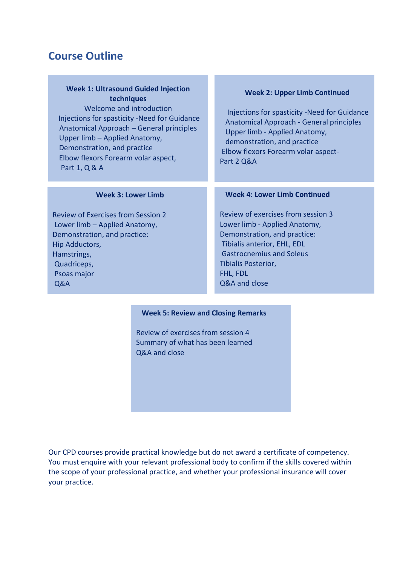## **Course Outline**

#### **Week 1: Ultrasound Guided Injection techniques**

Welcome and introduction Injections for spasticity -Need for Guidance Anatomical Approach – General principles Upper limb – Applied Anatomy, Demonstration, and practice Elbow flexors Forearm volar aspect, Part 1, Q & A

#### **Week 2: Upper Limb Continued**

Injections for spasticity -Need for Guidance Anatomical Approach - General principles Upper limb - Applied Anatomy, demonstration, and practice Elbow flexors Forearm volar aspect-Part 2 Q&A

#### **Week 3: Lower Limb**

Review of Exercises from Session 2 Lower limb – Applied Anatomy, Demonstration, and practice: Hip Adductors, Hamstrings, Quadriceps, Psoas major Q&A

#### **Week 4: Lower Limb Continued**

Review of exercises from session 3 Lower limb - Applied Anatomy, Demonstration, and practice: Tibialis anterior, EHL, EDL Gastrocnemius and Soleus Tibialis Posterior, FHL, FDL Q&A and close

#### **Week 5: Review and Closing Remarks**

Review of exercises from session 4 Summary of what has been learned Q&A and close

Our CPD courses provide practical knowledge but do not award a certificate of competency. You must enquire with your relevant professional body to confirm if the skills covered within the scope of your professional practice, and whether your professional insurance will cover your practice.